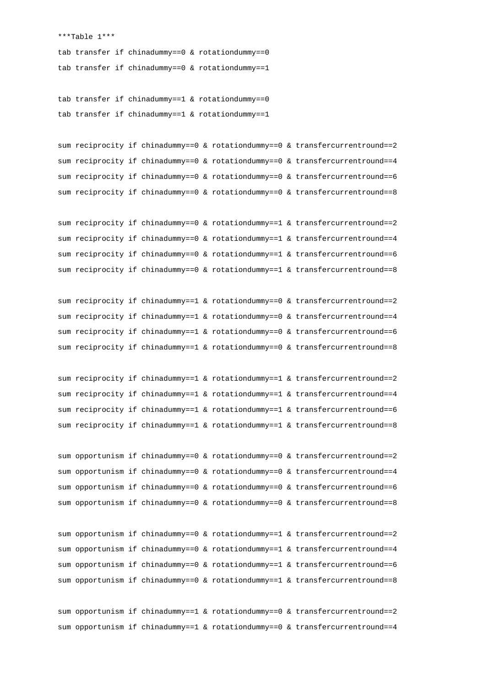\*\*\*Table 1\*\*\*

tab transfer if chinadummy==0 & rotationdummy==0 tab transfer if chinadummy==0 & rotationdummy==1

tab transfer if chinadummy==1 & rotationdummy==0 tab transfer if chinadummy==1 & rotationdummy==1

sum reciprocity if chinadummy==0 & rotationdummy==0 & transfercurrentround==2 sum reciprocity if chinadummy==0 & rotationdummy==0 & transfercurrentround==4 sum reciprocity if chinadummy==0 & rotationdummy==0 & transfercurrentround==6 sum reciprocity if chinadummy==0 & rotationdummy==0 & transfercurrentround==8

sum reciprocity if chinadummy==0 & rotationdummy==1 & transfercurrentround==2 sum reciprocity if chinadummy==0 & rotationdummy==1 & transfercurrentround==4 sum reciprocity if chinadummy==0 & rotationdummy==1 & transfercurrentround==6 sum reciprocity if chinadummy==0 & rotationdummy==1 & transfercurrentround==8

sum reciprocity if chinadummy==1 & rotationdummy==0 & transfercurrentround==2 sum reciprocity if chinadummy==1  $\&$  rotationdummy==0  $\&$  transfercurrentround==4 sum reciprocity if chinadummy==1 & rotationdummy==0 & transfercurrentround==6 sum reciprocity if chinadummy==1 & rotationdummy==0 & transfercurrentround==8

sum reciprocity if chinadummy==1 & rotationdummy==1 & transfercurrentround==2 sum reciprocity if chinadummy==1 & rotationdummy==1 & transfercurrentround==4 sum reciprocity if chinadummy==1 & rotationdummy==1 & transfercurrentround==6 sum reciprocity if chinadummy==1 & rotationdummy==1 & transfercurrentround==8

sum opportunism if chinadummy==0 & rotationdummy==0 & transfercurrentround==2 sum opportunism if chinadummy==0 & rotationdummy==0 & transfercurrentround==4 sum opportunism if chinadummy==0 & rotationdummy==0 & transfercurrentround==6 sum opportunism if chinadummy==0 & rotationdummy==0 & transfercurrentround==8

sum opportunism if chinadummy==0 & rotationdummy==1 & transfercurrentround==2 sum opportunism if chinadummy==0 & rotationdummy==1 & transfercurrentround==4 sum opportunism if chinadummy==0 & rotationdummy==1 & transfercurrentround==6 sum opportunism if chinadummy==0 & rotationdummy==1 & transfercurrentround==8

sum opportunism if chinadummy==1 & rotationdummy==0 & transfercurrentround==2 sum opportunism if chinadummy==1 & rotationdummy==0 & transfercurrentround==4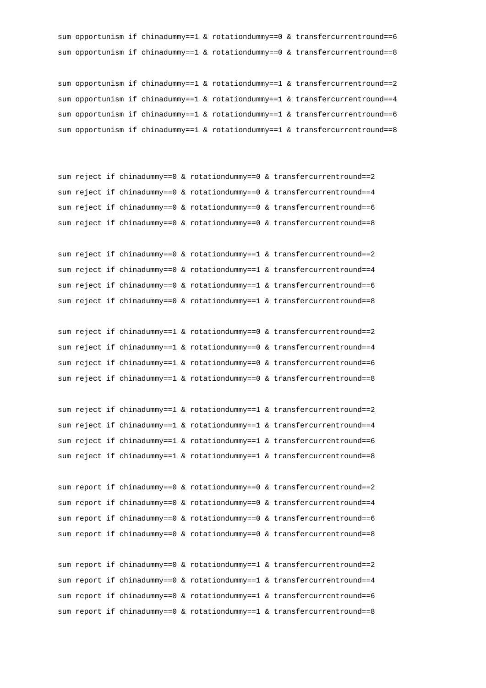sum opportunism if chinadummy==1 & rotationdummy==0 & transfercurrentround==6 sum opportunism if chinadummy==1 & rotationdummy==0 & transfercurrentround==8

```
sum opportunism if chinadummy==1 & rotationdummy==1 & transfercurrentround==2
sum opportunism if chinadummy==1 & rotationdummy==1 & transfercurrentround==4
sum opportunism if chinadummy==1 & rotationdummy==1 & transfercurrentround==6
sum opportunism if chinadummy==1 & rotationdummy==1 & transfercurrentround==8
```
sum reject if chinadummy==0 & rotationdummy==0 & transfercurrentround==2 sum reject if chinadummy==0 & rotationdummy==0 & transfercurrentround==4 sum reject if chinadummy==0 & rotationdummy==0 & transfercurrentround==6 sum reject if chinadummy==0 & rotationdummy==0 & transfercurrentround==8

```
sum reject if chinadummy==0 & rotationdummy==1 & transfercurrentround==2
sum reject if chinadummy==0 & rotationdummy==1 & transfercurrentround==4
sum reject if chinadummy==0 & rotationdummy==1 & transfercurrentround==6
sum reject if chinadummy==0 & rotationdummy==1 & transfercurrentround==8
```

```
sum reject if chinadummy==1 & rotationdummy==0 & transfercurrentround==2
sum reject if chinadummy==1 & rotationdummy==0 & transfercurrentround==4
sum reject if chinadummy==1 \& rotationdummy==0 \& transfercurrentround==6
sum reject if chinadummy==1 & rotationdummy==0 & transfercurrentround==8
```

```
sum reject if chinadummy==1 & rotationdummy==1 & transfercurrentround==2
sum reject if chinadummy==1 & rotationdummy==1 & transfercurrentround==4
sum reject if chinadummy==1 & rotationdummy==1 & transfercurrentround==6
sum reject if chinadummy==1 & rotationdummy==1 & transfercurrentround==8
```

```
sum report if chinadummy==0 & rotationdummy==0 & transfercurrentround==2
sum report if chinadummy==0 & rotationdummy==0 & transfercurrentround==4
sum report if chinadummy==0 & rotationdummy==0 & transfercurrentround==6
sum report if chinadummy==0 & rotationdummy==0 & transfercurrentround==8
```

```
sum report if chinadummy==0 & rotationdummy==1 & transfercurrentround==2
sum report if chinadummy==0 & rotationdummy==1 & transfercurrentround==4
sum report if chinadummy==0 & rotationdummy==1 & transfercurrentround==6
sum report if chinadummy==0 & rotationdummy==1 & transfercurrentround==8
```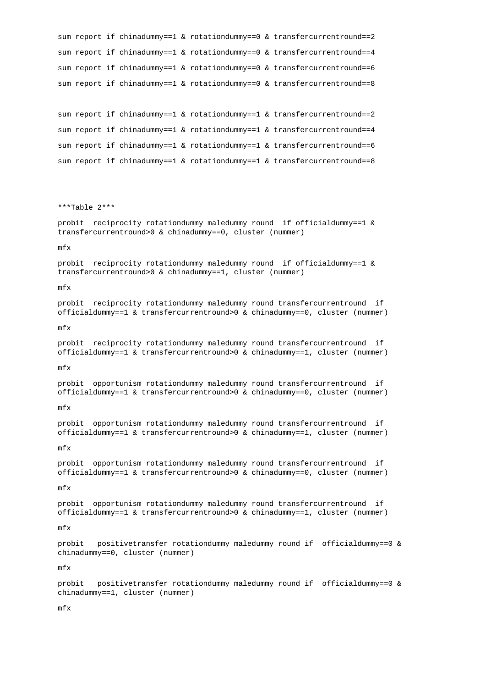```
sum report if chinadummy==1 & rotationdummy==0 & transfercurrentround==2
sum report if chinadummy==1 & rotationdummy==0 & transfercurrentround==4
sum report if chinadummy==1 & rotationdummy==0 & transfercurrentround==6
sum report if chinadummy==1 & rotationdummy==0 & transfercurrentround==8
sum report if chinadummy==1 & rotationdummy==1 & transfercurrentround==2
sum report if chinadummy==1 & rotationdummy==1 & transfercurrentround==4
sum report if chinadummy==1 & rotationdummy==1 & transfercurrentround==6
sum report if chinadummy==1 & rotationdummy==1 & transfercurrentround==8
***Table 2***
probit reciprocity rotationdummy maledummy round if officialdummy==1 & 
transfercurrentround>0 & chinadummy==0, cluster (nummer)
mfx
probit reciprocity rotationdummy maledummy round if officialdummy==1 & 
transfercurrentround>0 & chinadummy==1, cluster (nummer)
mfx
probit reciprocity rotationdummy maledummy round transfercurrentround if 
officialdummy==1 & transfercurrentround>0 & chinadummy==0, cluster (nummer)
mfx
probit reciprocity rotationdummy maledummy round transfercurrentround if 
officialdummy==1 & transfercurrentround>0 & chinadummy==1, cluster (nummer)
mfx
probit opportunism rotationdummy maledummy round transfercurrentround if 
officialdummy==1 & transfercurrentround>0 & chinadummy==0, cluster (nummer)
mfx
probit opportunism rotationdummy maledummy round transfercurrentround if 
officialdummy==1 & transfercurrentround>0 & chinadummy==1, cluster (nummer)
mfx
probit opportunism rotationdummy maledummy round transfercurrentround if 
officialdummy==1 & transfercurrentround>0 & chinadummy==0, cluster (nummer)
mfx
probit opportunism rotationdummy maledummy round transfercurrentround if 
officialdummy==1 & transfercurrentround>0 & chinadummy==1, cluster (nummer)
mfx
probit positivetransfer rotationdummy maledummy round if officialdummy==0 & 
chinadummy==0, cluster (nummer)
mfx
probit positivetransfer rotationdummy maledummy round if officialdummy==0 & 
chinadummy==1, cluster (nummer)
```
mfx